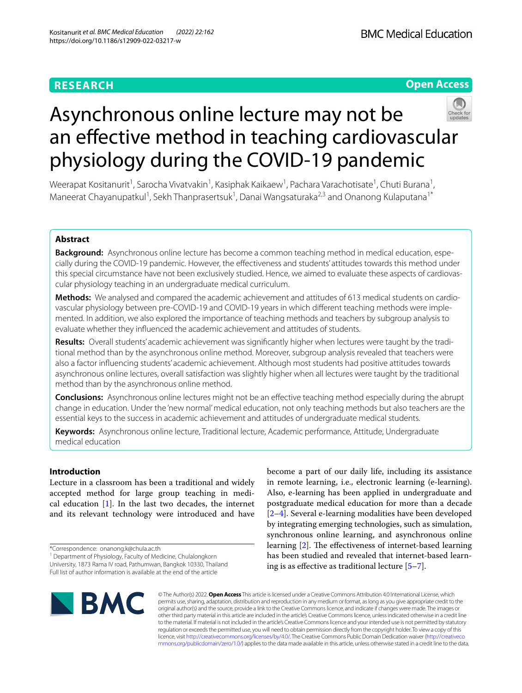# **RESEARCH**

# **Open Access**



# Asynchronous online lecture may not be an effective method in teaching cardiovascular physiology during the COVID-19 pandemic

Weerapat Kositanurit<sup>1</sup>, Sarocha Vivatvakin<sup>1</sup>, Kasiphak Kaikaew<sup>1</sup>, Pachara Varachotisate<sup>1</sup>, Chuti Burana<sup>1</sup>, Maneerat Chayanupatkul<sup>1</sup>, Sekh Thanprasertsuk<sup>1</sup>, Danai Wangsaturaka<sup>2,3</sup> and Onanong Kulaputana<sup>1\*</sup>

# **Abstract**

**Background:** Asynchronous online lecture has become a common teaching method in medical education, especially during the COVID-19 pandemic. However, the efectiveness and students' attitudes towards this method under this special circumstance have not been exclusively studied. Hence, we aimed to evaluate these aspects of cardiovascular physiology teaching in an undergraduate medical curriculum.

**Methods:** We analysed and compared the academic achievement and attitudes of 613 medical students on cardiovascular physiology between pre-COVID-19 and COVID-19 years in which diferent teaching methods were implemented. In addition, we also explored the importance of teaching methods and teachers by subgroup analysis to evaluate whether they infuenced the academic achievement and attitudes of students.

**Results:** Overall students' academic achievement was signifcantly higher when lectures were taught by the traditional method than by the asynchronous online method. Moreover, subgroup analysis revealed that teachers were also a factor infuencing students' academic achievement. Although most students had positive attitudes towards asynchronous online lectures, overall satisfaction was slightly higher when all lectures were taught by the traditional method than by the asynchronous online method.

**Conclusions:** Asynchronous online lectures might not be an efective teaching method especially during the abrupt change in education. Under the 'new normal' medical education, not only teaching methods but also teachers are the essential keys to the success in academic achievement and attitudes of undergraduate medical students.

**Keywords:** Asynchronous online lecture, Traditional lecture, Academic performance, Attitude, Undergraduate medical education

# **Introduction**

Lecture in a classroom has been a traditional and widely accepted method for large group teaching in medical education [[1\]](#page-7-0). In the last two decades, the internet and its relevant technology were introduced and have

\*Correspondence: onanong.k@chula.ac.th

<sup>1</sup> Department of Physiology, Faculty of Medicine, Chulalongkorn University, 1873 Rama IV road, Pathumwan, Bangkok 10330, Thailand Full list of author information is available at the end of the article

become a part of our daily life, including its assistance in remote learning, i.e., electronic learning (e-learning). Also, e-learning has been applied in undergraduate and postgraduate medical education for more than a decade [[2–](#page-7-1)[4\]](#page-7-2). Several e-learning modalities have been developed by integrating emerging technologies, such as simulation, synchronous online learning, and asynchronous online learning [[2\]](#page-7-1). The effectiveness of internet-based learning has been studied and revealed that internet-based learning is as efective as traditional lecture [\[5](#page-7-3)[–7](#page-7-4)].



© The Author(s) 2022. **Open Access** This article is licensed under a Creative Commons Attribution 4.0 International License, which permits use, sharing, adaptation, distribution and reproduction in any medium or format, as long as you give appropriate credit to the original author(s) and the source, provide a link to the Creative Commons licence, and indicate if changes were made. The images or other third party material in this article are included in the article's Creative Commons licence, unless indicated otherwise in a credit line to the material. If material is not included in the article's Creative Commons licence and your intended use is not permitted by statutory regulation or exceeds the permitted use, you will need to obtain permission directly from the copyright holder. To view a copy of this licence, visit [http://creativecommons.org/licenses/by/4.0/.](http://creativecommons.org/licenses/by/4.0/) The Creative Commons Public Domain Dedication waiver ([http://creativeco](http://creativecommons.org/publicdomain/zero/1.0/) [mmons.org/publicdomain/zero/1.0/](http://creativecommons.org/publicdomain/zero/1.0/)) applies to the data made available in this article, unless otherwise stated in a credit line to the data.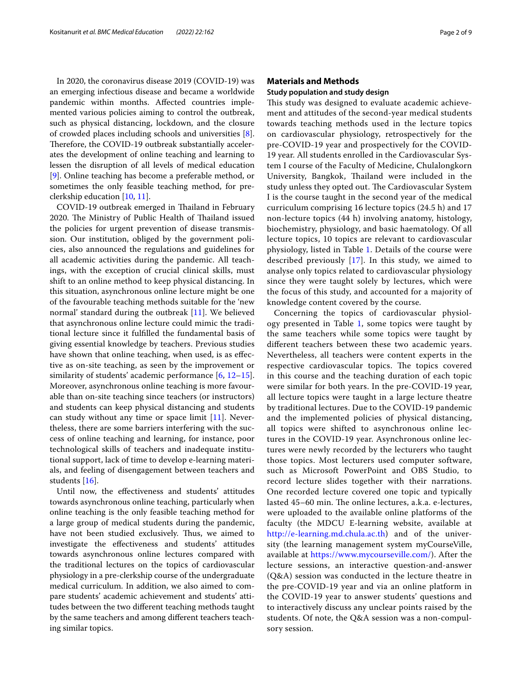In 2020, the coronavirus disease 2019 (COVID-19) was an emerging infectious disease and became a worldwide pandemic within months. Afected countries implemented various policies aiming to control the outbreak, such as physical distancing, lockdown, and the closure of crowded places including schools and universities [\[8](#page-7-5)]. Therefore, the COVID-19 outbreak substantially accelerates the development of online teaching and learning to lessen the disruption of all levels of medical education [[9\]](#page-7-6). Online teaching has become a preferable method, or sometimes the only feasible teaching method, for preclerkship education [\[10](#page-7-7), [11](#page-7-8)].

COVID-19 outbreak emerged in Thailand in February 2020. The Ministry of Public Health of Thailand issued the policies for urgent prevention of disease transmission. Our institution, obliged by the government policies, also announced the regulations and guidelines for all academic activities during the pandemic. All teachings, with the exception of crucial clinical skills, must shift to an online method to keep physical distancing. In this situation, asynchronous online lecture might be one of the favourable teaching methods suitable for the 'new normal' standard during the outbreak [[11\]](#page-7-8). We believed that asynchronous online lecture could mimic the traditional lecture since it fulflled the fundamental basis of giving essential knowledge by teachers. Previous studies have shown that online teaching, when used, is as effective as on-site teaching, as seen by the improvement or similarity of students' academic performance [\[6](#page-7-9), [12](#page-7-10)[–15](#page-7-11)]. Moreover, asynchronous online teaching is more favourable than on-site teaching since teachers (or instructors) and students can keep physical distancing and students can study without any time or space limit  $[11]$  $[11]$ . Nevertheless, there are some barriers interfering with the success of online teaching and learning, for instance, poor technological skills of teachers and inadequate institutional support, lack of time to develop e-learning materials, and feeling of disengagement between teachers and students [\[16](#page-7-12)].

Until now, the efectiveness and students' attitudes towards asynchronous online teaching, particularly when online teaching is the only feasible teaching method for a large group of medical students during the pandemic, have not been studied exclusively. Thus, we aimed to investigate the efectiveness and students' attitudes towards asynchronous online lectures compared with the traditional lectures on the topics of cardiovascular physiology in a pre-clerkship course of the undergraduate medical curriculum. In addition, we also aimed to compare students' academic achievement and students' attitudes between the two diferent teaching methods taught by the same teachers and among diferent teachers teaching similar topics.

# **Materials and Methods**

# **Study population and study design**

This study was designed to evaluate academic achievement and attitudes of the second-year medical students towards teaching methods used in the lecture topics on cardiovascular physiology, retrospectively for the pre-COVID-19 year and prospectively for the COVID-19 year. All students enrolled in the Cardiovascular System I course of the Faculty of Medicine, Chulalongkorn University, Bangkok, Thailand were included in the study unless they opted out. The Cardiovascular System I is the course taught in the second year of the medical curriculum comprising 16 lecture topics (24.5 h) and 17 non-lecture topics (44 h) involving anatomy, histology, biochemistry, physiology, and basic haematology. Of all lecture topics, 10 topics are relevant to cardiovascular physiology, listed in Table [1.](#page-2-0) Details of the course were described previously [\[17](#page-7-13)]. In this study, we aimed to analyse only topics related to cardiovascular physiology since they were taught solely by lectures, which were the focus of this study, and accounted for a majority of knowledge content covered by the course.

Concerning the topics of cardiovascular physiol-ogy presented in Table [1,](#page-2-0) some topics were taught by the same teachers while some topics were taught by diferent teachers between these two academic years. Nevertheless, all teachers were content experts in the respective cardiovascular topics. The topics covered in this course and the teaching duration of each topic were similar for both years. In the pre-COVID-19 year, all lecture topics were taught in a large lecture theatre by traditional lectures. Due to the COVID-19 pandemic and the implemented policies of physical distancing, all topics were shifted to asynchronous online lectures in the COVID-19 year. Asynchronous online lectures were newly recorded by the lecturers who taught those topics. Most lecturers used computer software, such as Microsoft PowerPoint and OBS Studio, to record lecture slides together with their narrations. One recorded lecture covered one topic and typically lasted 45–60 min. The online lectures, a.k.a. e-lectures, were uploaded to the available online platforms of the faculty (the MDCU E-learning website, available at [http://e-learning.md.chula.ac.th\)](http://e-learning.md.chula.ac.th) and of the university (the learning management system myCourseVille, available at<https://www.mycourseville.com/>). After the lecture sessions, an interactive question-and-answer (Q&A) session was conducted in the lecture theatre in the pre-COVID-19 year and via an online platform in the COVID-19 year to answer students' questions and to interactively discuss any unclear points raised by the students. Of note, the Q&A session was a non-compulsory session.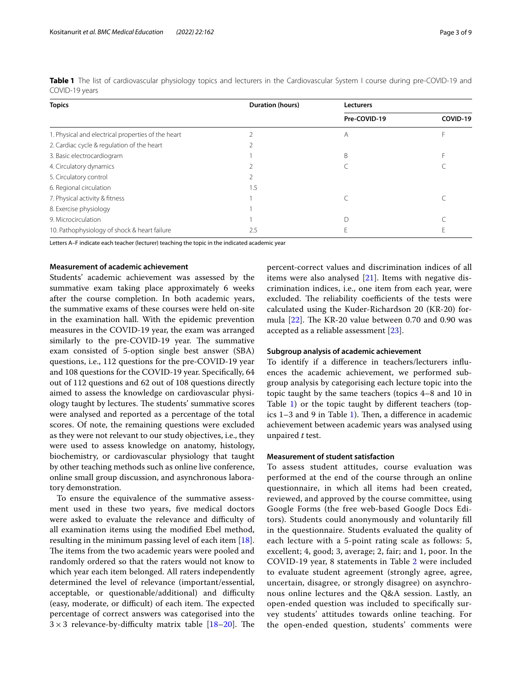| <b>Topics</b>                                      | Duration (hours) | Lecturers    |          |
|----------------------------------------------------|------------------|--------------|----------|
|                                                    |                  | Pre-COVID-19 | COVID-19 |
| 1. Physical and electrical properties of the heart |                  | Α            |          |
| 2. Cardiac cycle & regulation of the heart         |                  |              |          |
| 3. Basic electrocardiogram                         |                  | B            |          |
| 4. Circulatory dynamics                            |                  |              |          |
| 5. Circulatory control                             |                  |              |          |
| 6. Regional circulation                            | 1.5              |              |          |
| 7. Physical activity & fitness                     |                  |              |          |
| 8. Exercise physiology                             |                  |              |          |
| 9. Microcirculation                                |                  | D            |          |
| 10. Pathophysiology of shock & heart failure       | 2.5              |              |          |

<span id="page-2-0"></span>**Table 1** The list of cardiovascular physiology topics and lecturers in the Cardiovascular System I course during pre-COVID-19 and COVID-19 years

Letters A–F indicate each teacher (lecturer) teaching the topic in the indicated academic year

# **Measurement of academic achievement**

Students' academic achievement was assessed by the summative exam taking place approximately 6 weeks after the course completion. In both academic years, the summative exams of these courses were held on-site in the examination hall. With the epidemic prevention measures in the COVID-19 year, the exam was arranged similarly to the pre-COVID-19 year. The summative exam consisted of 5-option single best answer (SBA) questions, i.e., 112 questions for the pre-COVID-19 year and 108 questions for the COVID-19 year. Specifcally, 64 out of 112 questions and 62 out of 108 questions directly aimed to assess the knowledge on cardiovascular physiology taught by lectures. The students' summative scores were analysed and reported as a percentage of the total scores. Of note, the remaining questions were excluded as they were not relevant to our study objectives, i.e., they were used to assess knowledge on anatomy, histology, biochemistry, or cardiovascular physiology that taught by other teaching methods such as online live conference, online small group discussion, and asynchronous laboratory demonstration.

To ensure the equivalence of the summative assessment used in these two years, fve medical doctors were asked to evaluate the relevance and difficulty of all examination items using the modifed Ebel method, resulting in the minimum passing level of each item [\[18](#page-7-14)]. The items from the two academic years were pooled and randomly ordered so that the raters would not know to which year each item belonged. All raters independently determined the level of relevance (important/essential, acceptable, or questionable/additional) and difficulty (easy, moderate, or difficult) of each item. The expected percentage of correct answers was categorised into the  $3 \times 3$  relevance-by-difficulty matrix table [\[18](#page-7-14)–[20\]](#page-7-15). The

percent-correct values and discrimination indices of all items were also analysed  $[21]$  $[21]$ . Items with negative discrimination indices, i.e., one item from each year, were excluded. The reliability coefficients of the tests were calculated using the Kuder-Richardson 20 (KR-20) formula  $[22]$  $[22]$ . The KR-20 value between 0.70 and 0.90 was accepted as a reliable assessment [[23](#page-8-2)].

# **Subgroup analysis of academic achievement**

To identify if a diference in teachers/lecturers infuences the academic achievement, we performed subgroup analysis by categorising each lecture topic into the topic taught by the same teachers (topics 4–8 and 10 in Table [1\)](#page-2-0) or the topic taught by different teachers (topics  $1-3$  $1-3$  and 9 in Table 1). Then, a difference in academic achievement between academic years was analysed using unpaired *t* test.

# **Measurement of student satisfaction**

To assess student attitudes, course evaluation was performed at the end of the course through an online questionnaire, in which all items had been created, reviewed, and approved by the course committee, using Google Forms (the free web-based Google Docs Editors). Students could anonymously and voluntarily fll in the questionnaire. Students evaluated the quality of each lecture with a 5-point rating scale as follows: 5, excellent; 4, good; 3, average; 2, fair; and 1, poor. In the COVID-19 year, 8 statements in Table [2](#page-3-0) were included to evaluate student agreement (strongly agree, agree, uncertain, disagree, or strongly disagree) on asynchronous online lectures and the Q&A session. Lastly, an open-ended question was included to specifcally survey students' attitudes towards online teaching. For the open-ended question, students' comments were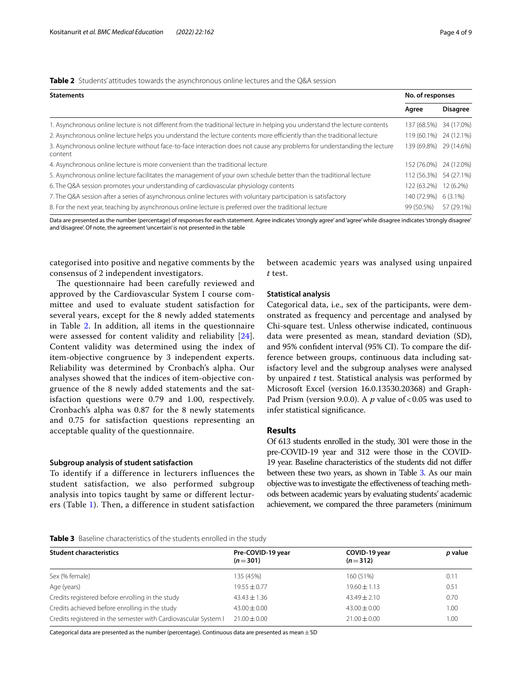# <span id="page-3-0"></span>**Table 2** Students' attitudes towards the asynchronous online lectures and the Q&A session

| <b>Statements</b>                                                                                                                    |                        | No. of responses |  |
|--------------------------------------------------------------------------------------------------------------------------------------|------------------------|------------------|--|
|                                                                                                                                      | Agree                  | <b>Disagree</b>  |  |
| 1. Asynchronous online lecture is not different from the traditional lecture in helping you understand the lecture contents          | 137 (68.5%) 34 (17.0%) |                  |  |
| 2. Asynchronous online lecture helps you understand the lecture contents more efficiently than the traditional lecture               | 119 (60.1%) 24 (12.1%) |                  |  |
| 3. Asynchronous online lecture without face-to-face interaction does not cause any problems for understanding the lecture<br>content | 139 (69.8%) 29 (14.6%) |                  |  |
| 4. Asynchronous online lecture is more convenient than the traditional lecture                                                       | 152 (76.0%) 24 (12.0%) |                  |  |
| 5. Asynchronous online lecture facilitates the management of your own schedule better than the traditional lecture                   | 112 (56.3%) 54 (27.1%) |                  |  |
| 6. The Q&A session promotes your understanding of cardiovascular physiology contents                                                 | 122 (63.2%)            | 12 (6.2%)        |  |
| 7. The Q&A session after a series of asynchronous online lectures with voluntary participation is satisfactory                       | 140 (72.9%) 6 (3.1%)   |                  |  |
| 8. For the next year, teaching by asynchronous online lecture is preferred over the traditional lecture                              | 99 (50.5%)             | 57 (29.1%)       |  |

Data are presented as the number (percentage) of responses for each statement. Agree indicates 'strongly agree' and 'agree' while disagree indicates 'strongly disagree' and 'disagree'. Of note, the agreement 'uncertain' is not presented in the table

categorised into positive and negative comments by the consensus of 2 independent investigators.

The questionnaire had been carefully reviewed and approved by the Cardiovascular System I course committee and used to evaluate student satisfaction for several years, except for the 8 newly added statements in Table [2](#page-3-0). In addition, all items in the questionnaire were assessed for content validity and reliability [[24](#page-8-3)]. Content validity was determined using the index of item-objective congruence by 3 independent experts. Reliability was determined by Cronbach's alpha. Our analyses showed that the indices of item-objective congruence of the 8 newly added statements and the satisfaction questions were 0.79 and 1.00, respectively. Cronbach's alpha was 0.87 for the 8 newly statements and 0.75 for satisfaction questions representing an acceptable quality of the questionnaire.

# **Subgroup analysis of student satisfaction**

To identify if a difference in lecturers influences the student satisfaction, we also performed subgroup analysis into topics taught by same or different lecturers (Table [1\)](#page-2-0). Then, a difference in student satisfaction between academic years was analysed using unpaired *t* test.

# **Statistical analysis**

Categorical data, i.e., sex of the participants, were demonstrated as frequency and percentage and analysed by Chi-square test. Unless otherwise indicated, continuous data were presented as mean, standard deviation (SD), and 95% confdent interval (95% CI). To compare the difference between groups, continuous data including satisfactory level and the subgroup analyses were analysed by unpaired *t* test. Statistical analysis was performed by Microsoft Excel (version 16.0.13530.20368) and Graph-Pad Prism (version 9.0.0). A  $p$  value of <0.05 was used to infer statistical signifcance.

# **Results**

Of 613 students enrolled in the study, 301 were those in the pre-COVID-19 year and 312 were those in the COVID-19 year. Baseline characteristics of the students did not difer between these two years, as shown in Table [3.](#page-3-1) As our main objective was to investigate the efectiveness of teaching methods between academic years by evaluating students' academic achievement, we compared the three parameters (minimum

# <span id="page-3-1"></span>**Table 3** Baseline characteristics of the students enrolled in the study

| Pre-COVID-19 year<br>$(n=301)$ | COVID-19 year<br>$(n=312)$ | p value |
|--------------------------------|----------------------------|---------|
| 135 (45%)                      | 160 (51%)                  | 0.11    |
| $19.55 + 0.77$                 | $19.60 \pm 1.13$           | 0.51    |
| $43.43 + 1.36$                 | $43.49 + 2.10$             | 0.70    |
| $43.00 \pm 0.00$               | $43.00 \pm 0.00$           | 00.1    |
| $21.00 \pm 0.00$               | $21.00 \pm 0.00$           | .00     |
|                                |                            |         |

Categorical data are presented as the number (percentage). Continuous data are presented as mean $\pm$ SD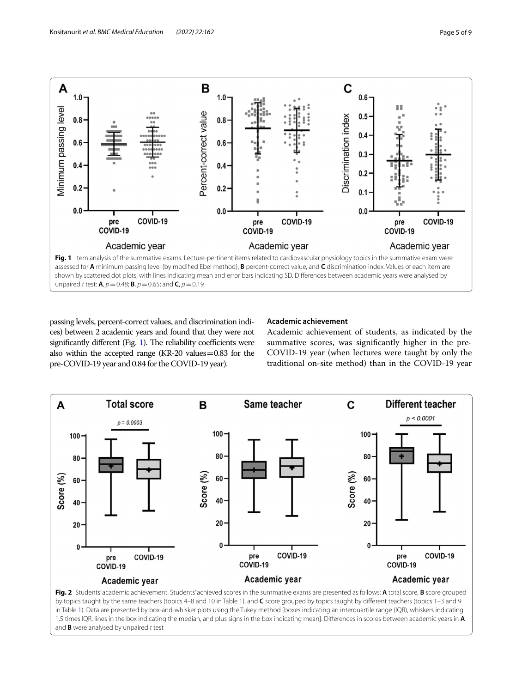

<span id="page-4-0"></span>passing levels, percent-correct values, and discrimination indices) between 2 academic years and found that they were not significantly different (Fig. [1](#page-4-0)). The reliability coefficients were also within the accepted range (KR-20 values=0.83 for the pre-COVID-19 year and 0.84 for the COVID-19 year).

# **Academic achievement**

Academic achievement of students, as indicated by the summative scores, was signifcantly higher in the pre-COVID-19 year (when lectures were taught by only the traditional on-site method) than in the COVID-19 year



<span id="page-4-1"></span>in Table [1](#page-2-0)). Data are presented by box-and-whisker plots using the Tukey method [boxes indicating an interquartile range (IQR), whiskers indicating 1.5 times IQR, lines in the box indicating the median, and plus signs in the box indicating mean]. Diferences in scores between academic years in **A** and **B** were analysed by unpaired *t* test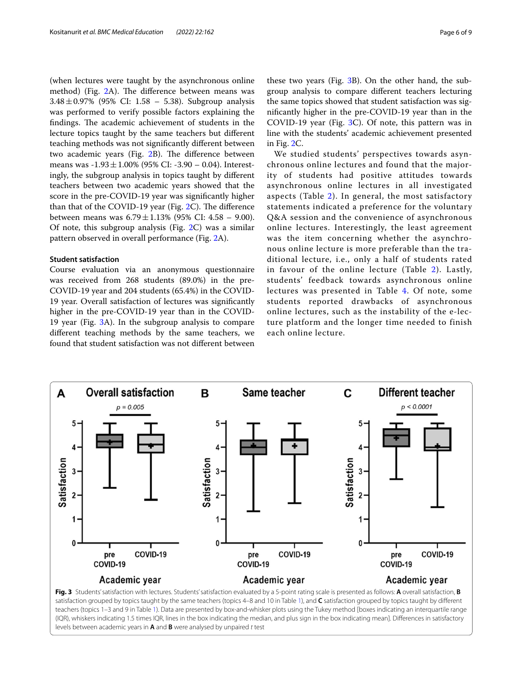(when lectures were taught by the asynchronous online method) (Fig. [2A](#page-4-1)). The difference between means was 3.48±0.97% (95% CI: 1.58 – 5.38). Subgroup analysis was performed to verify possible factors explaining the findings. The academic achievement of students in the lecture topics taught by the same teachers but diferent teaching methods was not signifcantly diferent between two academic years (Fig. [2](#page-4-1)B). The difference between means was  $-1.93 \pm 1.00\%$  (95% CI:  $-3.90 - 0.04$ ). Interestingly, the subgroup analysis in topics taught by diferent teachers between two academic years showed that the score in the pre-COVID-19 year was signifcantly higher than that of the COVID-19 year (Fig.  $2C$ ). The difference between means was  $6.79 \pm 1.13\%$  (95% CI: 4.58 – 9.00). Of note, this subgroup analysis (Fig. [2](#page-4-1)C) was a similar pattern observed in overall performance (Fig. [2A](#page-4-1)).

# **Student satisfaction**

Course evaluation via an anonymous questionnaire was received from 268 students (89.0%) in the pre-COVID-19 year and 204 students (65.4%) in the COVID-19 year. Overall satisfaction of lectures was signifcantly higher in the pre-COVID-19 year than in the COVID-19 year (Fig. [3A](#page-5-0)). In the subgroup analysis to compare diferent teaching methods by the same teachers, we found that student satisfaction was not diferent between

<span id="page-5-0"></span>levels between academic years in **A** and **B** were analysed by unpaired *t* test

these two years (Fig. [3](#page-5-0)B). On the other hand, the subgroup analysis to compare diferent teachers lecturing the same topics showed that student satisfaction was signifcantly higher in the pre-COVID-19 year than in the COVID-19 year (Fig. [3](#page-5-0)C). Of note, this pattern was in line with the students' academic achievement presented in Fig. [2](#page-4-1)C.

We studied students' perspectives towards asynchronous online lectures and found that the majority of students had positive attitudes towards asynchronous online lectures in all investigated aspects (Table  $2$ ). In general, the most satisfactory statements indicated a preference for the voluntary Q&A session and the convenience of asynchronous online lectures. Interestingly, the least agreement was the item concerning whether the asynchronous online lecture is more preferable than the traditional lecture, i.e., only a half of students rated in favour of the online lecture (Table [2\)](#page-3-0). Lastly, students' feedback towards asynchronous online lectures was presented in Table [4](#page-6-0). Of note, some students reported drawbacks of asynchronous online lectures, such as the instability of the e-lecture platform and the longer time needed to finish each online lecture.

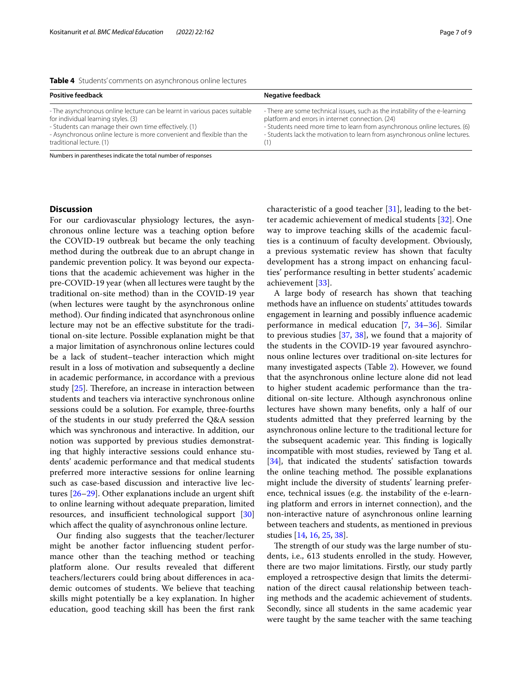<span id="page-6-0"></span>

| Table 4 Students' comments on asynchronous online lectures |  |
|------------------------------------------------------------|--|
|------------------------------------------------------------|--|

| <b>Positive feedback</b>                                                                                                                                                                                                                                                        | Negative feedback                                                                                                                                                                                                                                                                           |
|---------------------------------------------------------------------------------------------------------------------------------------------------------------------------------------------------------------------------------------------------------------------------------|---------------------------------------------------------------------------------------------------------------------------------------------------------------------------------------------------------------------------------------------------------------------------------------------|
| - The asynchronous online lecture can be learnt in various paces suitable<br>for individual learning styles. (3)<br>- Students can manage their own time effectively. (1)<br>- Asynchronous online lecture is more convenient and flexible than the<br>traditional lecture. (1) | - There are some technical issues, such as the instability of the e-learning<br>platform and errors in internet connection. (24)<br>- Students need more time to learn from asynchronous online lectures. (6)<br>- Students lack the motivation to learn from asynchronous online lectures. |

Numbers in parentheses indicate the total number of responses

# **Discussion**

For our cardiovascular physiology lectures, the asynchronous online lecture was a teaching option before the COVID-19 outbreak but became the only teaching method during the outbreak due to an abrupt change in pandemic prevention policy. It was beyond our expectations that the academic achievement was higher in the pre-COVID-19 year (when all lectures were taught by the traditional on-site method) than in the COVID-19 year (when lectures were taught by the asynchronous online method). Our fnding indicated that asynchronous online lecture may not be an efective substitute for the traditional on-site lecture. Possible explanation might be that a major limitation of asynchronous online lectures could be a lack of student–teacher interaction which might result in a loss of motivation and subsequently a decline in academic performance, in accordance with a previous study  $[25]$  $[25]$ . Therefore, an increase in interaction between students and teachers via interactive synchronous online sessions could be a solution. For example, three-fourths of the students in our study preferred the Q&A session which was synchronous and interactive. In addition, our notion was supported by previous studies demonstrating that highly interactive sessions could enhance students' academic performance and that medical students preferred more interactive sessions for online learning such as case-based discussion and interactive live lectures [[26–](#page-8-5)[29\]](#page-8-6). Other explanations include an urgent shift to online learning without adequate preparation, limited resources, and insufficient technological support [[30](#page-8-7)] which afect the quality of asynchronous online lecture.

Our fnding also suggests that the teacher/lecturer might be another factor infuencing student performance other than the teaching method or teaching platform alone. Our results revealed that diferent teachers/lecturers could bring about diferences in academic outcomes of students. We believe that teaching skills might potentially be a key explanation. In higher education, good teaching skill has been the frst rank characteristic of a good teacher  $[31]$  $[31]$  $[31]$ , leading to the better academic achievement of medical students [[32\]](#page-8-9). One way to improve teaching skills of the academic faculties is a continuum of faculty development. Obviously, a previous systematic review has shown that faculty development has a strong impact on enhancing faculties' performance resulting in better students' academic achievement [\[33](#page-8-10)].

A large body of research has shown that teaching methods have an infuence on students' attitudes towards engagement in learning and possibly infuence academic performance in medical education [\[7](#page-7-4), [34](#page-8-11)[–36\]](#page-8-12). Similar to previous studies  $[37, 38]$  $[37, 38]$  $[37, 38]$  $[37, 38]$ , we found that a majority of the students in the COVID-19 year favoured asynchronous online lectures over traditional on-site lectures for many investigated aspects (Table [2\)](#page-3-0). However, we found that the asynchronous online lecture alone did not lead to higher student academic performance than the traditional on-site lecture. Although asynchronous online lectures have shown many benefts, only a half of our students admitted that they preferred learning by the asynchronous online lecture to the traditional lecture for the subsequent academic year. This finding is logically incompatible with most studies, reviewed by Tang et al. [[34\]](#page-8-11), that indicated the students' satisfaction towards the online teaching method. The possible explanations might include the diversity of students' learning preference, technical issues (e.g. the instability of the e-learning platform and errors in internet connection), and the non-interactive nature of asynchronous online learning between teachers and students, as mentioned in previous studies [[14,](#page-7-16) [16,](#page-7-12) [25](#page-8-4), [38\]](#page-8-14).

The strength of our study was the large number of students, i.e., 613 students enrolled in the study. However, there are two major limitations. Firstly, our study partly employed a retrospective design that limits the determination of the direct causal relationship between teaching methods and the academic achievement of students. Secondly, since all students in the same academic year were taught by the same teacher with the same teaching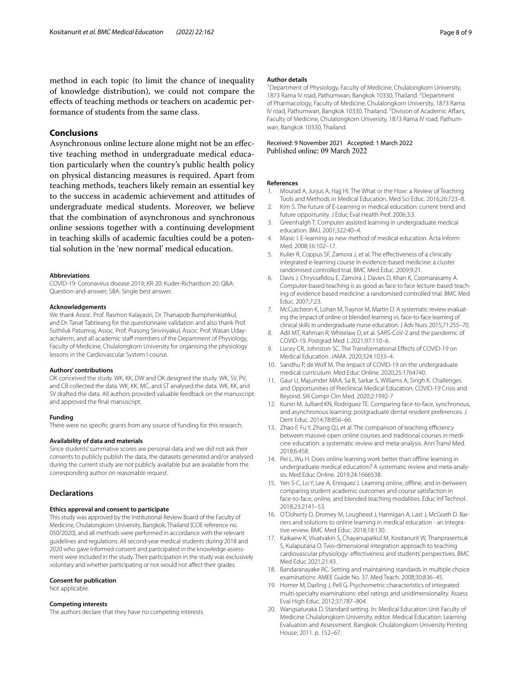method in each topic (to limit the chance of inequality of knowledge distribution), we could not compare the efects of teaching methods or teachers on academic performance of students from the same class.

# **Conclusions**

Asynchronous online lecture alone might not be an efective teaching method in undergraduate medical education particularly when the country's public health policy on physical distancing measures is required. Apart from teaching methods, teachers likely remain an essential key to the success in academic achievement and attitudes of undergraduate medical students. Moreover, we believe that the combination of asynchronous and synchronous online sessions together with a continuing development in teaching skills of academic faculties could be a potential solution in the 'new normal' medical education.

# **Abbreviations**

COVID-19: Coronavirus disease 2019; KR-20: Kuder-Richardson 20; Q&A: Question-and-answer; SBA: Single best answer.

#### **Acknowledgements**

We thank Assoc. Prof. Rasmon Kalayasiri, Dr. Thanapob Bumphenkiatikul, and Dr. Tanat Tabtieang for the questionnaire validation and also thank Prof. Suthiluk Patumraj, Assoc. Prof. Prasong Siriviriyakul, Assoc. Prof. Wasan Udayachalerm, and all academic staff members of the Department of Physiology, Faculty of Medicine, Chulalongkorn University for organising the physiology lessons in the Cardiovascular System I course.

#### **Authors' contributions**

OK conceived the study. WK, KK, DW and OK designed the study. WK, SV, PV, and CB collected the data. WK, KK, MC, and ST analysed the data. WK, KK, and SV drafted the data. All authors provided valuable feedback on the manuscript and approved the fnal manuscript.

#### **Funding**

There were no specifc grants from any source of funding for this research.

#### **Availability of data and materials**

Since students' summative scores are personal data and we did not ask their consents to publicly publish the data, the datasets generated and/or analysed during the current study are not publicly available but are available from the corresponding author on reasonable request.

#### **Declarations**

# **Ethics approval and consent to participate**

This study was approved by the Institutional Review Board of the Faculty of Medicine, Chulalongkorn University, Bangkok, Thailand (COE reference no. 050/2020), and all methods were performed in accordance with the relevant guidelines and regulations. All second-year medical students during 2018 and 2020 who gave informed consent and participated in the knowledge assessment were included in the study. Their participation in the study was exclusively voluntary and whether participating or not would not afect their grades.

#### **Consent for publication**

Not applicable.

#### **Competing interests**

The authors declare that they have no competing interests.

#### **Author details**

<sup>1</sup> Department of Physiology, Faculty of Medicine, Chulalongkorn University, 1873 Rama IV road, Pathumwan, Bangkok 10330, Thailand. <sup>2</sup> Department of Pharmacology, Faculty of Medicine, Chulalongkorn University, 1873 Rama IV road, Pathumwan, Bangkok 10330, Thailand. <sup>3</sup> Division of Academic Affairs, Faculty of Medicine, Chulalongkorn University, 1873 Rama IV road, Pathumwan, Bangkok 10330, Thailand.

# Received: 9 November 2021 Accepted: 1 March 2022

#### **References**

- <span id="page-7-0"></span>Mourad A, Jurjus A, Hajj HI. The What or the How: a Review of Teaching Tools and Methods in Medical Education. Med Sci Educ. 2016;26:723–8.
- <span id="page-7-1"></span>2. Kim S. The future of E-Learning in medical education: current trend and future opportunity. J Educ Eval Health Prof. 2006;3:3.
- 3. Greenhalgh T. Computer assisted learning in undergraduate medical education. BMJ. 2001;322:40–4.
- <span id="page-7-2"></span>4. Masic I. E-learning as new method of medical education. Acta Inform Med. 2008;16:102–17.
- <span id="page-7-3"></span>Kulier R, Coppus SF, Zamora J, et al. The effectiveness of a clinically integrated e-learning course in evidence-based medicine: a cluster randomised controlled trial. BMC Med Educ. 2009;9:21.
- <span id="page-7-9"></span>6. Davis J, Chryssafdou E, Zamora J, Davies D, Khan K, Coomarasamy A. Computer-based teaching is as good as face to face lecture-based teaching of evidence based medicine: a randomised controlled trial. BMC Med Educ. 2007;7:23.
- <span id="page-7-4"></span>McCutcheon K, Lohan M, Traynor M, Martin D. A systematic review evaluating the impact of online or blended learning vs. face-to-face learning of clinical skills in undergraduate nurse education. J Adv Nurs. 2015;71:255–70.
- <span id="page-7-5"></span>8. Adil MT, Rahman R, Whitelaw D, et al. SARS-CoV-2 and the pandemic of COVID-19. Postgrad Med J. 2021;97:110–6.
- <span id="page-7-6"></span>Lucey CR, Johnston SC. The Transformational Effects of COVID-19 on Medical Education. JAMA. 2020;324:1033–4.
- <span id="page-7-7"></span>10. Sandhu P, de Wolf M. The impact of COVID-19 on the undergraduate medical curriculum. Med Educ Online. 2020;25:1764740.
- <span id="page-7-8"></span>11. Gaur U, Majumder MAA, Sa B, Sarkar S, Williams A, Singh K. Challenges and Opportunities of Preclinical Medical Education: COVID-19 Crisis and Beyond. SN Compr Clin Med. 2020;2:1992-7
- <span id="page-7-10"></span>12. Kunin M, Julliard KN, Rodriguez TE. Comparing face-to-face, synchronous, and asynchronous learning: postgraduate dental resident preferences. J Dent Educ. 2014;78:856–66.
- 13. Zhao F, Fu Y, Zhang QJ, et al. The comparison of teaching efficiency between massive open online courses and traditional courses in medicine education: a systematic review and meta-analysis. Ann Transl Med. 2018;6:458.
- <span id="page-7-16"></span>14. Pei L, Wu H. Does online learning work better than offline learning in undergraduate medical education? A systematic review and meta-analysis. Med Educ Online. 2019;24:1666538.
- <span id="page-7-11"></span>15. Yen S-C, Lo Y, Lee A, Enriquez J. Learning online, offline, and in-between: comparing student academic outcomes and course satisfaction in face-to-face, online, and blended teaching modalities. Educ Inf Technol. 2018;23:2141–53.
- <span id="page-7-12"></span>16. O'Doherty D, Dromey M, Lougheed J, Hannigan A, Last J, McGrath D. Barriers and solutions to online learning in medical education - an integrative review. BMC Med Educ. 2018;18:130.
- <span id="page-7-13"></span>17. Kaikaew K, Vivatvakin S, Chayanupatkul M, Kositanurit W, Thanprasertsuk S, Kulaputana O. Two-dimensional integration approach to teaching cardiovascular physiology: effectiveness and students' perspectives. BMC Med Educ 2021;21:43.
- <span id="page-7-14"></span>18. Bandaranayake RC. Setting and maintaining standards in multiple choice examinations: AMEE Guide No. 37. Med Teach. 2008;30:836–45.
- 19. Homer M, Darling J, Pell G. Psychometric characteristics of integrated multi-specialty examinations: ebel ratings and unidimensionality. Assess Eval High Educ. 2012;37:787–804.
- <span id="page-7-15"></span>20. Wangsaturaka D. Standard setting. In: Medical Education Unit Faculty of Medicine Chulalongkorn University, editor. Medical Education: Learning Evaluation and Assessment. Bangkok: Chulalongkorn University Printing House; 2011. p. 152–67.